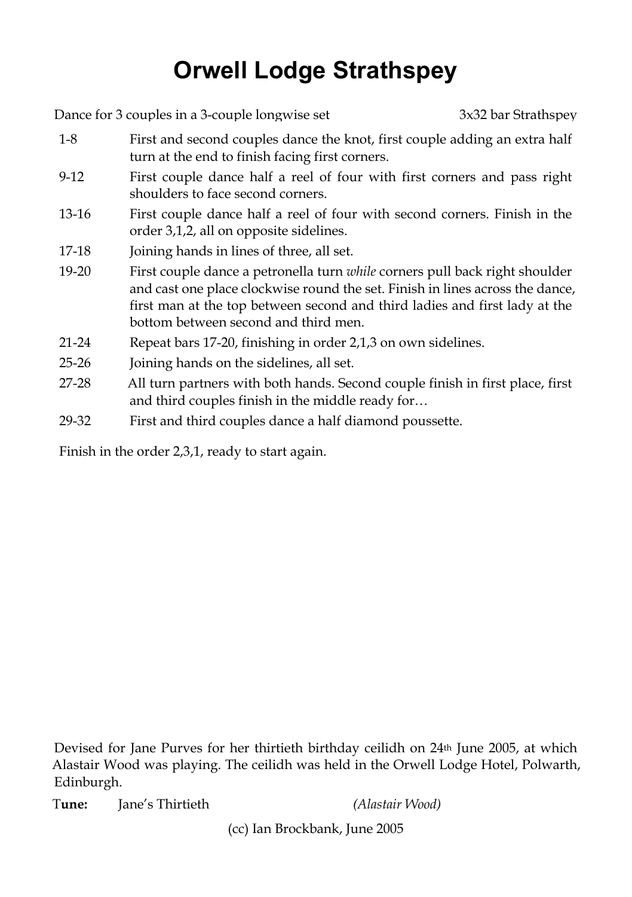## **Orwell Lodge Strathspey**

Dance for 3 couples in a 3-couple longwise set 3x32 bar Strathspey 1-8 First and second couples dance the knot, first couple adding an extra half turn at the end to finish facing first corners. 9-12 First couple dance half a reel of four with first corners and pass right shoulders to face second corners. 13-16 First couple dance half a reel of four with second corners. Finish in the order 3,1,2, all on opposite sidelines. 17-18 Joining hands in lines of three, all set. 19-20 First couple dance a petronella turn *while* corners pull back right shoulder and cast one place clockwise round the set. Finish in lines across the dance, first man at the top between second and third ladies and first lady at the bottom between second and third men. 21-24 Repeat bars 17-20, finishing in order 2,1,3 on own sidelines. 25-26 Joining hands on the sidelines, all set. 27-28 All turn partners with both hands. Second couple finish in first place, first and third couples finish in the middle ready for… 29-32 First and third couples dance a half diamond poussette.

Finish in the order 2,3,1, ready to start again.

Devised for Jane Purves for her thirtieth birthday ceilidh on 24th June 2005, at which Alastair Wood was playing. The ceilidh was held in the Orwell Lodge Hotel, Polwarth, Edinburgh.

T**une:** Jane's Thirtieth *(Alastair Wood)*

(cc) Ian Brockbank, June 2005